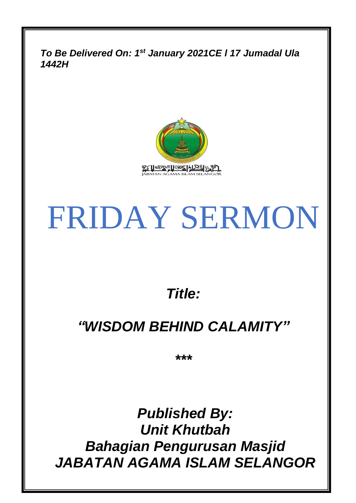*To Be Delivered On: 1 st January 2021CE l 17 Jumadal Ula 1442H*



# FRIDAY SERMON

# *Title:*

# *"WISDOM BEHIND CALAMITY"*

*\*\*\**

*Published By: Unit Khutbah Bahagian Pengurusan Masjid JABATAN AGAMA ISLAM SELANGOR*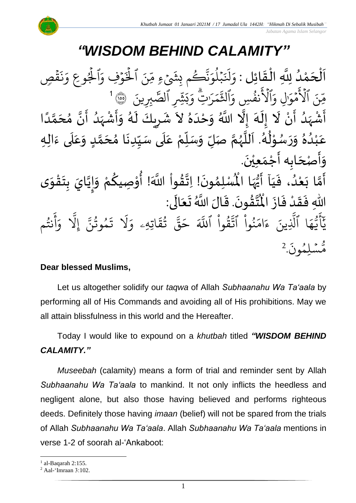# **WISDOM BEHIND CALAMI**

์<br>ว اَلْحَمْدُ لِلَّهِ الْقَائِلِ : وَلَنَبْلُوَنَّكُم بِشَيْءٍ مِّنَ ٱلْخَوْفِ وَٱلْجُوعِ وَ  $\overline{\phantom{a}}$  $\frac{1}{2}$ و<br>ا 。<br>C  $\overline{\phantom{a}}$  $\frac{1}{2}$ ֦֧֦֧֦֧֦֧֦֧֦֧֦֧֜֜֜֜֓֓<br>**֡** ص<br>عر  $\ddot{\mathbf{3}}$ ق  $\ddot{\cdot}$ بر<br>ن  $\frac{1}{\alpha}$ ِ ر<br>أ .<br>ه وُفِ وَ  $\ddot{\phantom{0}}$ ِ<br>په ہ<br>1۔ ِينَ ٱلْخَ ے<br>ڪم بِشَيۡءِ مِّ و ِ<br>په بة<br>ف  $\frac{1}{2}$ بْلُوَ و<br>ا  $\ddot{\phantom{0}}$ <u>.</u><br>لَذَ لم<br>أ  $\frac{1}{2}$ و بِرِينَ َىٰلاً<br>مر وَبَثِّيرِ ٱلصَّ ب ِتِ وَ **َ** ِ<br>س ر ر<br>م بر<br>م ্য<br>শ الث ِ<br>م نفُسِ وَا م<br>وفي  $\overline{\tilde{\epsilon}}$   $\tilde{\epsilon}$ ٱۡل َ<br>م ِل و َٰ  $\overline{\phantom{a}}$ مَوَّز  $\frac{1}{2}$ ے۔<br>م ع هِّنَ ٱلْأَمْوَالِ وَٱلْأَنفُسِ وَٱلتَّمَرَاتِّ وَبَثِّبِرِ ٱلصَّبِرِينَ ۞الثَّا ا<br>آ ئِنْ - حَرِّيْ رَ- --تِنْ رَ --رَجِّ رَجِّ رَجِيلاً عَبَدِينَ مَعْهَدًا عَلَيْهِ مُحَمَّدًا عَلَيْهِ<br>أَشْهَدُ أَنْ لَا إِلَهَ إِلَّا اللَّهُ وَحْدَهُ لاَ شَرِيكَ لَهُ وَأَشْهَدُ أَنَّ مُحَمَّدًا ់<br>• م<br>پنج و<br>ا  $\frac{1}{2}$ ْ ْ  $\frac{1}{2}$ —<br>-<br>1  $\tilde{\mathbf{r}}$  $\frac{1}{2}$ ا<br>م<br>•  $\frac{1}{2}$ ر<br>ا ر<br>زن ْ المجمع<br>منبع<br>المجمع  $\tilde{\cdot}$ ر<br>ر  $\frac{1}{\epsilon}$ ِ ्<br>ू *ा*<br>< ر<br>ڊ  $\frac{1}{1}$  $\tilde{\cdot}$ ر<br>ا ً<br>ا ر<br>آ ๋<br>ጎ حَّدَ مِنْ وَلَٰهُ. اَللَّهُمَّ صَلِّ وَسَلِّمْ عَلَى سَيِّدِنَا مُحَمَّدٍ وَعَلَى ءَالِهِ  $\ddot{\cdot}$ َ<br>آ .<br>ح  $\tilde{\cdot}$ <u>لم</u> ا<br>م .<br>م  $\ddot{\phantom{0}}$  $\frac{1}{2}$  $\frac{1}{2}$ ۔<br>آ ً<br>م ِّ<br>ا  $\overline{r}$  $\tilde{\cdot}$ لة<br>م و<br>ر<br>ر نج<br>آا َ ءِ<br>ھ  $\frac{1}{\epsilon}$ ់<br>^ و<br>م  $\tilde{\cdot}$  $\tilde{\cdot}$  $\frac{2}{\lambda}$ ه ۷<br>م لم ់<br>រ ب .<br>م ع .<br>وَأَصْحَابِه أَجْمَعِيْنَ.  $\overline{\phantom{a}}$ د<br>پن  $\tilde{\cdot}$  $\ddot{\phantom{0}}$ ّٰ  $\frac{1}{\sqrt{2}}$ ر<br>پنج لْمُبْلِمُونَ! اِتَّقُواْ اللَّهَ! أُوْصِيكُمْ وَإِيَّايَ بِتَقْوَى  $\frac{1}{2}$ ֦֧֦֧֦֧֦֧<u>֦</u>  $\frac{1}{2}$ **ر**<br>: ا<br>ا  $\frac{1}{2}$  $\tilde{\cdot}$ <u>و</u> ֦֧֦֘֝ **ہ**<br>: ْ  $\frac{9}{4}$ الة  $\ddot{\phantom{0}}$ ›<br>ለ أَمَّا بَعْدُ، فَيَاۤ أَيُّهَا الْمُ م<br>ما ُ<br>ُرو<br> ب<br>ج َ  $\frac{1}{2}$ و<br>ا ْ َ<br>ِمَ ۔<br>م ر<br>پنج ِّ<br>مُ اْل از ف د ق ِهللا ف ى: ال ع ت الَ َّللا <sup>ا</sup> ُ .ق ون ق ت  $\frac{1}{2}$  $\ddot{\cdot}$ ْ  $\frac{1}{2}$ -<br>∶• لا<br>آ  $\overline{\phantom{a}}$ ئے<br>ج ا<br>نا  $\ddot{\cdot}$ ا<br>من سم<br>الما م نت و<br>په ِ<br>ج أ ر<br>م و ىد<br>1 َِل إ ِ<br>پ مُوتَنَّ ور و  $\ddot{\cdot}$ نَ<br>ت ر<br>1 َل  $\frac{1}{2}$ اتِهِۦ و  $\ddot{\Omega}$ ؞ؘٛؿۧ و<br>په ِ<br>په قی  $\overline{\phantom{a}}$ ح ہ<br>آک قَوا اللَّهَ ا<br>ا ور ِ<br>په<br>په نُوا اڌّ ا<br>ا ُو<br>و  $\frac{1}{2}$ ام  $\tilde{\epsilon}$ ء ِينَ ِ<br>آ ا الَّذِ  $\frac{1}{4}$ ه و<br>د سَ<br>ڊ ۔<br>ع  $\overline{\phantom{a}}$ َ<br>د د  $\ddot{\cdot}$ ون و لِم  $\ddot{\phantom{0}}$ س و<br>مم مُّسَٰلِمُونَ. 2

#### **Dear blessed Muslims,**

Let us altogether solidify our *taqwa* of Allah *Subhaanahu Wa Ta'aala* by performing all of His Commands and avoiding all of His prohibitions. May we all attain blissfulness in this world and the Hereafter.

Today I would like to expound on a *khutbah* titled *"WISDOM BEHIND CALAMITY."*

*Museebah* (calamity) means a form of trial and reminder sent by Allah *Subhaanahu Wa Ta'aala* to mankind. It not only inflicts the heedless and negligent alone, but also those having believed and performs righteous deeds. Definitely those having *imaan* (belief) will not be spared from the trials of Allah *Subhaanahu Wa Ta'aala*. Allah *Subhaanahu Wa Ta'aala* mentions in verse 1-2 of soorah al-'Ankaboot:

 $<sup>1</sup>$  al-Baqarah 2:155.</sup>

<sup>2</sup> Aal-'Imraan 3:102.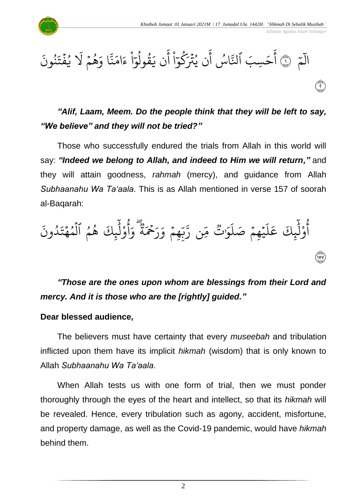*Jabatan Agama Islam Selangor*



#### $\frac{1}{\sqrt{2}}$ م المَمْ ١  $\ddot{\cdot}$ نُونَ ُو  $\ddot{\phantom{0}}$ يضَتَه  $\ddot{\cdot}$ و<br>د َ هُمُ لا  $\frac{1}{2}$ و<br>ج ر<br>م ا و ِ<br>په نة<br>م  $\frac{1}{2}$ ام  $\tilde{\epsilon}$ ء ا  $\frac{1}{\alpha}$ قولو ِ<br>د ن ي أ ا  $\frac{1}{\epsilon}$ كو ِ<br>م ن يُثَرَ و<br>د أ و<br>. اس ِ<br>په ٱَل ِسبَ َ ح أ fide<br>Corre

### *"Alif, Laam, Meem. Do the people think that they will be left to say, "We believe" and they will not be tried?"*

Those who successfully endured the trials from Allah in this world will say: *"Indeed we belong to Allah, and indeed to Him we will return,"* and they will attain goodness, *rahmah* (mercy), and guidance from Allah *Subhaanahu Wa Ta'aala*. This is as Allah mentioned in verse 157 of soorah al-Baqarah:

 $\ddot{\cdot}$ ون د و<br>ا  $\ddot{\phantom{0}}$ ِ<br>يِكَ هُمُ ٱلْمُهَٰٓتَ  $\frac{1}{4}$ و ہ<br>1 و و<br>ج ِ<br>آ ل و <u>ٰ</u> و<br>م أ  $\frac{1}{\alpha}$ و ڝ<br>وو ة  $\tilde{\tilde{z}}$ ِ<br>ِحَمَ ِ<br>م ر ِ<br>م چمَ وَ  $\frac{1}{2}$ ں<br>م ب<br>ب ِ<br>پن ِن ر ں<br>م ∝<br>م وو<br>•• َٰت َ و ر<br>آ .<br>يُهِمْ صَلَ  $\frac{1}{2}$  $\ddot{\phantom{0}}$ ر<br>آ  $\uplambda$ ِ<br>م ِ<br>يِكَ عَ ِرِ<br>ا ل و ْ و<br>م أ ١٥٧

*"Those are the ones upon whom are blessings from their Lord and mercy. And it is those who are the [rightly] guided."*

#### **Dear blessed audience,**

The believers must have certainty that every *museebah* and tribulation inflicted upon them have its implicit *hikmah* (wisdom) that is only known to Allah *Subhaanahu Wa Ta'aala*.

When Allah tests us with one form of trial, then we must ponder thoroughly through the eyes of the heart and intellect, so that its *hikmah* will be revealed. Hence, every tribulation such as agony, accident, misfortune, and property damage, as well as the Covid-19 pandemic, would have *hikmah* behind them.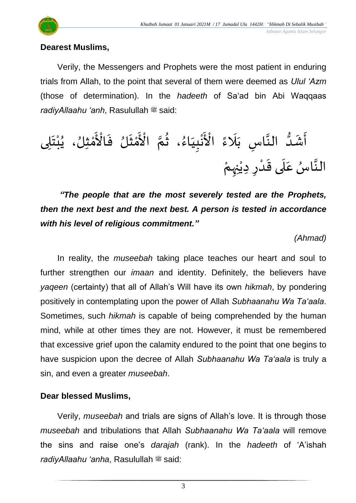

#### **Dearest Muslims,**

Verily, the Messengers and Prophets were the most patient in enduring trials from Allah, to the point that several of them were deemed as *Ulul 'Azm* (those of determination). In the *hadeeth* of Sa'ad bin Abi Waqqaas *radiyAllaahu 'anh*, Rasulullah  $\ddot{\mathbf{x}}$  said:

ً ء َ َل َ ِس ب ا ا الن ُّ د َ ش َ أ ى ِ ل َ ت ْ ب ُ ، ي ِلُ ث ْ م َ ْ اْل َ ف لُ َ ث ْ م َ ْ اْل ا م ُ ، ث ُ اء َ ي ِ ب ْ ن َ ْ اْل ا الن َ سع ُ ا َ ل َ ِ ىق ِد ر ْ د ْ ي ِ ِ ه ن ْ م

*"The people that are the most severely tested are the Prophets, then the next best and the next best. A person is tested in accordance with his level of religious commitment."*

*(Ahmad)*

In reality, the *museebah* taking place teaches our heart and soul to further strengthen our *imaan* and identity. Definitely, the believers have *yaqeen* (certainty) that all of Allah's Will have its own *hikmah*, by pondering positively in contemplating upon the power of Allah *Subhaanahu Wa Ta'aala*. Sometimes, such *hikmah* is capable of being comprehended by the human mind, while at other times they are not. However, it must be remembered that excessive grief upon the calamity endured to the point that one begins to have suspicion upon the decree of Allah *Subhaanahu Wa Ta'aala* is truly a sin, and even a greater *museebah*.

#### **Dear blessed Muslims,**

Verily, *museebah* and trials are signs of Allah's love. It is through those *museebah* and tribulations that Allah *Subhaanahu Wa Ta'aala* will remove the sins and raise one's *darajah* (rank). In the *hadeeth* of 'A'ishah *radiyAllaahu 'anha*, Rasulullah <sup>##</sup> said:

3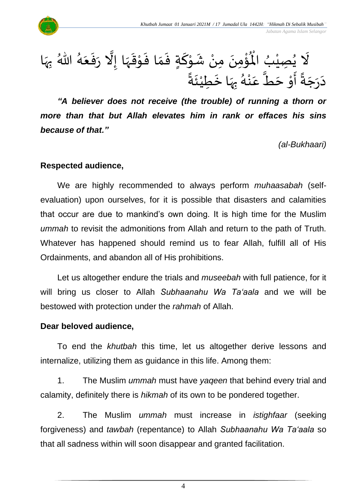

 $\ddot{\phantom{0}}$ ِمن ؤ ់<br>៖  $\mathbf{r}^{\circ}$ لَا يُصِيْبُ الْمُؤْمِنَ مِنْ شَوْكَةٍ فَمَا فَوْقَهَا إِلَّا رَفَعَهُ اللَّهُ بِهَا ُ ْ ُ<br>په  $\tilde{\mathbf{r}}$ ْ  $\frac{1}{2}$ **∶** ہ<br>اُ الاہ شَوْكَةٍ فَمَا فَوْقَهَا إِلَّا رَفَعَهُ  $\frac{1}{2}$  $\ddot{\cdot}$  $\frac{1}{2}$ ن<br>ا  $\frac{1}{2}$  $\frac{1}{2}$ י<br>י  $\ddot{\cdot}$  $\frac{1}{2}$  $\frac{1}{2}$  $\sum_{i=1}^{n}$ ์<br>-<br>-֦֝<br>֝**֝**  $\frac{1}{2}$ **لا**<br>-دَرَجَةً أَوْ حَطٌّ عَنْهُ بِهَا خَطِيْئَةً -<br>ءَ ْ ا<br>-<br>• ا<br>بر<br>د **∶** .<br>د<br>ام ֚֬<br>֧<u>֛</u> .<br>م ے<br>آ  $\ddot{\phantom{0}}$ ֦֧֦֦֝֝**֦**  $\frac{1}{2}$ ً<br>پہ  $\overline{\phantom{a}}$  $\frac{1}{2}$  $\sim$ 

*"A believer does not receive (the trouble) of running a thorn or more than that but Allah elevates him in rank or effaces his sins because of that."*

*(al-Bukhaari)*

#### **Respected audience,**

We are highly recommended to always perform *muhaasabah* (selfevaluation) upon ourselves, for it is possible that disasters and calamities that occur are due to mankind's own doing. It is high time for the Muslim *ummah* to revisit the admonitions from Allah and return to the path of Truth. Whatever has happened should remind us to fear Allah, fulfill all of His Ordainments, and abandon all of His prohibitions.

Let us altogether endure the trials and *museebah* with full patience, for it will bring us closer to Allah *Subhaanahu Wa Ta'aala* and we will be bestowed with protection under the *rahmah* of Allah.

#### **Dear beloved audience,**

To end the *khutbah* this time, let us altogether derive lessons and internalize, utilizing them as guidance in this life. Among them:

1. The Muslim *ummah* must have *yaqeen* that behind every trial and calamity, definitely there is *hikmah* of its own to be pondered together.

2. The Muslim *ummah* must increase in *istighfaar* (seeking forgiveness) and *tawbah* (repentance) to Allah *Subhaanahu Wa Ta'aala* so that all sadness within will soon disappear and granted facilitation.

4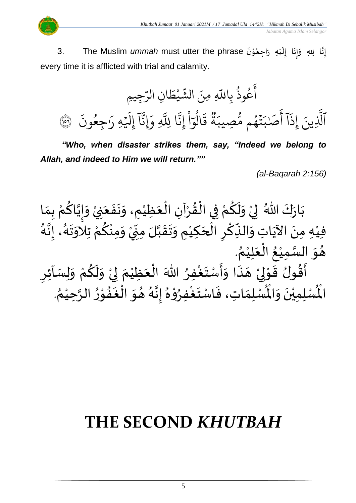

 *Jabatan Agama Islam Selangor*

عِّ - The Muslim *ummah* must utter the phrase إِنَّا لِلهِ وَإِنَا إِلَيْهِ رَاجِعُوْنَ 3. ់<br>្ ٍ<br>ُ  $\ddot{\phantom{0}}$ ؗ<br>۠  $\overline{\mathbf{r}}$ !<br>∶  $\ddot{\cdot}$  $\frac{1}{2}$  $\tilde{\cdot}$ ان<br>• !<br>∶ every time it is afflicted with trial and calamity.

ِجيِم َ ِن الر ا َ ط ْ ي َ الش ِ ِمنَ ِاَّلل َ ب ُ وذ ُ ع َ أ َ ون ُ ِجع َٰ َ هِ ر ۡ َ َِل إ ٓ ا َّ ِ ِإَون َّ ا َِّلل َّ ِن إ ْ ا ٓ و ُ ال َ ق ٞ ة َ ِصيب ُّ م م ُ ه ۡ ت َ ب َٰ صَ َ أ ٓ ا َ ِذ إ ِينَ َّ ٱَّل ١٥٦

*"Who, when disaster strikes them, say, "Indeed we belong to Allah, and indeed to Him we will return.""*

*(al-Baqarah 2:156)*

ْ بَارَكَ اللّهُ ۚ لِيْ وَلَكُمْ فِي الْقُرْآنِ الْعَظِيْمِ، وَنَفَعَنِيْ وَإِيَّاكُمْ بِمَا  $\ddot{\phantom{0}}$  $\ddot{\cdot}$  $\ddot{\phantom{0}}$  $\tilde{\cdot}$ ْ َ ْ ْ  $\frac{1}{2}$ ֦֧֦֧֦֧֦֧֦֧֦֧֦֧֜֜֜֜֓֓<br>**֡** ْ <u>ہ</u>  $\tilde{\mathbf{r}}$  $\frac{1}{2}$ ْ  $\frac{1}{2}$  $\ddot{\ }$  $\frac{1}{\lambda}$ ْ <u>ہ</u> اتا<br>ا  $\frac{1}{2}$  $\frac{1}{2}$ —<br>}<br>1 .<br>فِيْهِ مِنَ الآيَاتِ وَالنِّكْرِ الْحَكِيْمِ وَتَقَبَّلَ مِنِّيْ وَمِنْكُمْ تِلاَوَتَهُ، إِنَّهُ اسمبر<br>اب ।<br>-<br>-—<br>}<br>1  $\frac{1}{2}$ .<br>ار ្ត្ ر<br>م ْ ∕<br>^ ْ ְ<br>ֳ<br>∙  $\sum$ ا<br>ما  $\frac{1}{2}$  $\frac{1}{2}$ ا<br>ا ំ<br>រ  $\overline{\phantom{a}}$ ا<br>أ ِ ا<br>م ِ<br>پہ  $\frac{1}{2}$ ِ<br>پُ ।<br>-<br>• ْ . ٍ<br>∕\* هُوَ السَّمِيْعُ الْعَلِيْمُ `<br>' َ ا<br>أ .<br>و ْ سه<br>ما  $\frac{1}{2}$  $\frac{1}{2}$  $\frac{9}{2}$ حَسِبِي حَسِبًا.<br>أَقُولُ قَوْلِيْ هَذَا وَأَسْتَغْفِرُ اللّٰهَ الْعَظِيْمَ لِيْ وَلَكُمْ وَلِسَائِرِ ا<br>بہ <u>ر</u>  $\tilde{\cdot}$ ْ <u>ل</u>و  $\tilde{\mathbf{r}}$  $\frac{1}{2}$ ْ إ  $\ddot{\phantom{0}}$ ់<br>រ َ ْ ∫<br>∕ ْ  $\ddot{\ }$  $\frac{1}{2}$  $\frac{1}{2}$ َ ::<br>-<br>▲ ْ لمح  $\frac{1}{2}$ र<br>:: . ُ وي هذا واستعفِر الله العَظِيم في ولكم ويُسْمَر<br>لَّمُسْلِمَاتِ، فَاسْتَغْفِرُوْهُ إِنَّهُ هُوَ الْغَفُوْرُ الرَّحِيْمُ ر<br>د ا<br>تا -<br>ڊ י<br>י ِ<br>په  $\ge$ ا<br>ف ์ $\overline{\phantom{a}}$  $\frac{1}{2}$ ्<br>।<br>न ا<br>تابع<br>•  $\frac{1}{2}$  $^2$ ֦֧֦֧֦ **ہ** ا<br>ابر<br>ابرا  $\ddot{\ }$  $\frac{1}{2}$  $\frac{1}{2}$ الحون حو<br>لْمُسْلِمِيْنَ وَالْمُ  $\frac{1}{2}$ ا<br>. ْ الْم

# **THE SECOND** *KHUTBAH*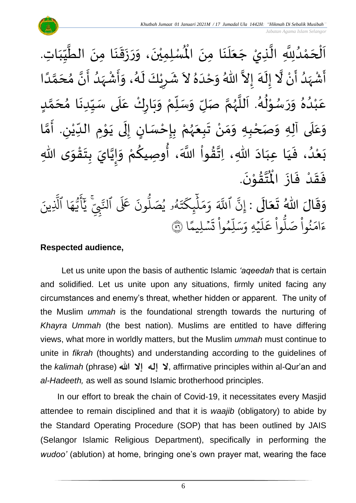$\tilde{\cdot}$ ن<br>لْمُسْلِمِيْنَ، وَ<sub>ل</sub>  $\ddot{\phantom{0}}$ ْ اَلْحَمْدُلِلَّهِ الَّذِيْ جَعَلَنَا مِنَ الْمُسْلِمِيْنَ، وَرَزَقَنَا مِنَ الطَّيِّبَاتِ.  $\ddot{\phantom{0}}$  $\ddot{\phantom{0}}$  $\overline{\mathbf{a}}$ َ  $\overline{\phantom{a}}$ ا<br>ا ا<br>په و<br>و ់<br><  $\overline{\phantom{a}}$ ْ  $\overline{\phantom{a}}$  $\frac{1}{2}$  $\frac{1}{2}$ ِّس ا<br>ا  $\ddot{\phantom{0}}$  $\ddot{\phantom{0}}$  $\ddot{\phantom{0}}$  $\ddot{\cdot}$  $\frac{1}{2}$ ا<br>ا أَشْهَدُ أَنْ لَّا إِلَهَ إِلاَّ اللّهُ وَحْدَهُ لاَ شَرِيْكَ لَهُ، وَأَشْهَدُ أَنَّ مُحَمَّدًا ْ  $\tilde{\mathbf{z}}$ و<br>ا ً<br>زلا ْ  $\tilde{\mathbf{z}}$ و<br>گ اتا ં<br>ત  $\tilde{\cdot}$  $\frac{1}{2}$  $\tilde{\phantom{0}}$  $\frac{1}{2}$ َ  $\frac{1}{2}$ ً<br>أ ن<br>م َ  $\frac{1}{2}$ ن<br>• ا<br>ج <br>ا  $\frac{1}{2}$ ْ  $\frac{1}{2}$  $\tilde{\cdot}$ و<br>گ  $\tilde{\mathbf{r}}$ ْ ِ  $\frac{1}{2}$ عَبْدُهُ وَرَسُوْلُهُ. اَللَّهُمَّ صَلِّ وَسَلِّمْ وَبَارِكْ عَلَى سَيِّدِنَا مُحَمَّدٍ <u>لم</u> ل<br>م  $\overline{\phantom{a}}$  $\frac{1}{2}$  $\ddot{\phantom{0}}$ ِّ  $\frac{1}{2}$ ے<br>آ ِ<br>م ْ  $\ddot{\phantom{0}}$ ์ $\frac{1}{2}$ ْ  $\frac{1}{\sqrt{2}}$  $\overline{r}$  $\frac{1}{2}$ ن<br>م ر<br>ر<br>ر ا<br>ا  $\ddot{\phantom{0}}$ و<br>گ  $\frac{1}{2}$ ּ<br>י و<br>ر  $\frac{1}{2}$  $\frac{1}{2}$  $\frac{2}{\lambda}$ .<br>و ْ .<br>م وَعَلَى آلِهِ وَصَحْبِهِ وَمَنْ تَبِعَهُمْ بِإِحْسَانٍ إِلَى يَوْمِ الدِّيْنِ. أَمَّا  $\overline{\mathbf{1}}$ .<br>م  $\tilde{\cdot}$ ْ ر<br>ر<br>ر  $\frac{1}{2}$  $\ddot{\phantom{0}}$ ំ<br>•  $\frac{1}{2}$  $\frac{1}{2}$ ْ ن<br>م َ ِ ٝ<br>ؙ ِّ **→** י<br>י  $\ddot{\phantom{0}}$  $\ddot{\phantom{0}}$ ل  $\frac{1}{2}$ <u>ل</u> ֦֧֦֧<u>֦</u> <u>ر</u><br>-ى ِهللا و ق ت ب ايَ ي إ و م وِصيك ، أ َّللا اَ وا ق ِهللا، ِات اد ِعب ا ي ، ف د ع ب  $\frac{1}{2}$ ֦֧֦֧֦֧֝<u>֦</u>  $\ddot{\phantom{0}}$ **ؚ** ن<br>•<br>•  $\frac{1}{2}$  $\frac{1}{2}$ ْ **∕**<br>م ُ<br>وُ ر<br>ا  $\frac{9}{4}$ ا<br>به<br>\*  $\ddot{\phantom{0}}$ َ َ  $\frac{1}{2}$ و<br>و ំ<br>រ  $\ddot{\ }$ .  $\ddot{\phantom{0}}$ تَقَوْنَ ֦֧֦֝<br>**֧**  $\frac{9}{4}$ ا<br>این<br>جو ر<br>مو فَقَدْ فَازَ الْمُ  $\ddot{\cdot}$  $\ddot{\cdot}$ **ٔ**  $\frac{1}{2}$  $\frac{1}{2}$ وَقَالَ اللّهُ تَعَالَى : إِنَّ ٱللَّهَ وَمَلّٰبٍكَتَهُو يُصَلُّونَ عَلَى ٱلنَّبِيَّ  $\ddot{\phantom{0}}$  $\frac{1}{2}$  $\frac{1}{2}$  $\frac{1}{2}$  $\frac{1}{2}$ .<br>تَ عَلَى ٱلتَّ ون و<br>ا و<br>٩و يُصَلُّ و<br>د و<br>لم  $\ddot{\phantom{0}}$ ت ر<br>م چکے<br>غ ِ<br>آ  $\uplambda$  $\frac{1}{2}$ بر<br>م  $\frac{1}{c}$ و ِ<br>آک اللَّهَ ِ<br>پَ إِنَّ ٱللَّهَ وَمَلَّيٕكَتَهُۥ يُصَلُّونَ عَلَى ٱلنَّبِيَّ يَٰٓأَيُّهَا ٱلَّذِينَ یہ<br>۱ ا الَّذِ ِ<br>م ه و<br>د سَ<br>ڊ ِ<br>بِم  $\overline{\mathcal{L}}$ ِ<br>د د ا  $\frac{2}{3}$ ٞٞۺٙڵؚۑمً  $\ddot{\phantom{0}}$  $\ddot{\cdot}$ ت ْ وا ِم و ں<br>آ ل ِ<br>په بر<br>سد  $\frac{1}{c}$ يُهِ وَ, ہ<br>م ۔<br>آ  $\uplambda$ ِ<br>م ع وا ْ و<br>ا م<br>نُواْ صَلَّا ْ ر<br>و  $\frac{1}{2}$ ءَامَنُواْ صَلُّواْ عَلَيْهِ وَسَلِّمُواْ تَسۡلِيمًا ۞

#### **Respected audience,**

Let us unite upon the basis of authentic Islamic *'aqeedah* that is certain and solidified. Let us unite upon any situations, firmly united facing any circumstances and enemy's threat, whether hidden or apparent. The unity of the Muslim *ummah* is the foundational strength towards the nurturing of *Khayra Ummah* (the best nation). Muslims are entitled to have differing views, what more in worldly matters, but the Muslim *ummah* must continue to unite in *fikrah* (thoughts) and understanding according to the guidelines of the *kalimah* (phrase) **لا إله إلا الله عليه: affirmative principles within al-Qur'an and** *al-Hadeeth,* as well as sound Islamic brotherhood principles.

In our effort to break the chain of Covid-19, it necessitates every Masjid attendee to remain disciplined and that it is *waajib* (obligatory) to abide by the Standard Operating Procedure (SOP) that has been outlined by JAIS (Selangor Islamic Religious Department), specifically in performing the *wudoo'* (ablution) at home, bringing one's own prayer mat, wearing the face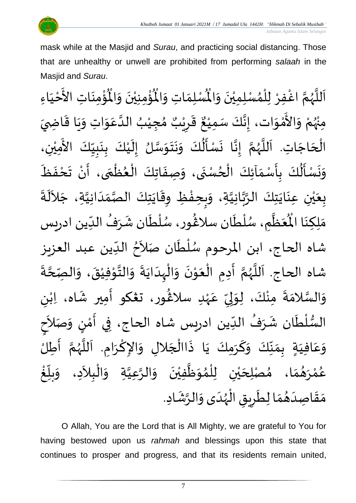

 *Jabatan Agama Islam Selangor*

mask while at the Masjid and *Surau*, and practicing social distancing. Those that are unhealthy or unwell are prohibited from performing *salaah* in the Masjid and *Surau*.

ؙۊؙ۠ڡؚنَاتِ  $\ddot{\phantom{0}}$ ់<br>:  $\mathbf{r}^{\circ}$ ُؤْمِنِيْنَ وَالْمُ  $\frac{1}{2}$  $\ddot{\phantom{0}}$ ់<br>ព <u>់</u> ُْ ِ<br>لْمُسْلِمَاتِ وَالْمُ  $\frac{1}{2}$  $\frac{1}{2}$ اَللَّهُمَّ اغْفِرْ لِلْمُسْلِمِيْنَ وَالْمُسْلِمَاتِ وَالْمُؤْمِنِيْنَ وَالْمُؤْمِنَاتِ الأَخْيَاءِ  $\frac{1}{2}$  $\ddot{\phantom{0}}$ ់<br>រ ›<br>ለ ٝ<br>أ ِ<br>د ا<br>م و<br>ر ا<br>آ ً<br>آ  $\frac{1}{1}$ ْ لا<br>تح ់<br>រ مِنْهُمْ وَالأَمْوَات، إِنَّكَ سَمِيْعٌ قَرِيْبٌ مُجِيْبُ الدَّعَوَاتِ وَيَا قَاضِيَ بو<br>زر ْ  $\frac{1}{2}$ י<br>י -<br>چ  $\frac{1}{2}$  $\frac{1}{2}$  $\ddot{\mathbf{r}}$  $\ddot{\phantom{0}}$  $\frac{1}{2}$  $\frac{1}{2}$ ِ<br>م ان<br>ا ُ ْ )<br>ጎ ه<br>د ا ي ر ق ِ ر<br>پن  $\frac{1}{2}$ ، إِنَّكَ سَمِيْعٌ ْ لة<br>\*  $\frac{1}{2}$  $\ddot{\phantom{0}}$ الْحَاجَاتِ. اَللَّهُمَّ إِنَّا نَسْأَلُكَ وَنَتَوَسَّلُ إِلَيْكَ بِنَبِيِّكَ الأَمِيْنِ،  $\tilde{\cdot}$  $\ddot{\hat{\mathbf{r}}}$  $\frac{1}{2}$  $\ddot{\phantom{0}}$ ن<br>•<br>• ।<br>∶ انا<br>م و<br>ر ا<br>آ َ  $\overline{\phantom{a}}$ ا<br>ا ْ َ<br>ج ِ<br>∪<br>∫  $\frac{1}{2}$  $\frac{1}{2}$  $\ddot{\phantom{0}}$ <u>ر</u><br>-֦֦֝֝֝<br>֧֝֝֝֝**֟**  $\tilde{\mathbf{r}}$ ।<br>-<br>-ان<br>س  $\frac{1}{2}$  $\ddot{\phantom{0}}$  $\mathbf{r}$ وَنَسْأَلُكَ بِأَسْمَاَئِكَ الْحُسْنَى، وَصِفَاتِكَ الْعُظْمَى، أَنْ تَحْفَظَ  $\ddot{\cdot}$  $\ddot{\phantom{0}}$ ْ  $\frac{1}{2}$ َ ֦֧֦֧֦֧֦֧֦֧֦֧֦֧֦֧֦֧֦֧֦֧֟֓֓֓֓<br>**֧** }<br>• ֦֧֦֧֦֧֦֧<br>֧֩֩  $\ddot{\cdot}$  $\frac{1}{2}$  $\ddot{\phantom{0}}$ ٍ<br>ٌ ֦֧֦֧֦֧֦֧֦֧֦֧֦֧֦֧֦֧֦֧֦֧֟֓֓֟֓<br>**֡**  $\frac{1}{\lambda}$  $\frac{1}{2}$ <u>ر</u> ۔<br>ا  $\frac{1}{2}$  $\ddot{\phantom{0}}$  $\frac{1}{2}$  $\ddot{\cdot}$ بِعَيْنِ عِنَايَتِكَ الرَّبَّانِيَّةِ، وَبِحِفْظِ وِقَايَتِكَ الصَّمَدَانِيَّةِ، جَلاَلَةَ ِ<br>ا  $\sim$ ان<br>ا  $\frac{1}{1}$  $\frac{1}{2}$ ان<br>مر  $\ddot{\phantom{0}}$  $\ddot{\mathbf{r}}$ ֦֧֦֦֧֦֧֝<u>֦</u> ِ<br>پ  $\frac{1}{2}$ ا<br>ا ا<br>تاب ان<br>م  $\frac{1}{2}$  $\ddot{\phantom{0}}$ ់<br>( ه<br>با  $\frac{1}{2}$ ់<br>( ْعَظَّمِ، سُلْطَان سلاڠُور، سُلْ ُ<br>م }<br>፟**፟** ر<br>م ْ و<br>م ر<br>اتا َ َ<br>مو ِ<br>مَلِكِنَا الْمُعَظَّمِ، سُلْطَان سلاغُور، سُلْطَان شَرَفُ الدِّين ادريس ا<br>با  $\frac{1}{1}$ ُ  $\ddot{\phantom{0}}$  $\tilde{r}$ شاه الحاج، ابن المرحوم سُلْطَان صَلاَحُ الدِّين عبد العزيز  $\frac{1}{\sqrt{2}}$ ፟<br>፟  $\sim$ ۔<br>نام ا<br>ا ُ<br>م ا<br>م شاه الحاج. اَللَّهُمَّ أَدِمِ الْعَوْنَ وَالْهِدَايَةَ وَالتَّوْفِيْقَ، وَالصِّحَّةَ ة<br>م  $\tilde{\cdot}$  $\ddot{\cdot}$ ֦֧<sup>֦</sup> י<br>י ل<br>اب  $\tilde{\cdot}$  $\ddot{\cdot}$  $\ddot{\phantom{0}}$  $\frac{1}{1}$ ْ  $\tilde{\cdot}$  $\ddot{\phantom{0}}$ י<br>י  $\frac{1}{2}$ ا<br>أ ।<br>∕  $\frac{1}{2}$ ن<br>م ر<br>ر ۔<br>ا َ وَالسَّلامَةَ مِنْكَ، لِوَلِيِّ عَهْدِ سلاڠُور، ت**ڠك**و أَمِير شَاه، اِبْنِ ٝ<br>ؙ  $\mathbf{r}$  $\frac{1}{2}$ )<br>፟ ٝ<br>; .<br>م ِ<br>∪<br>′ ِ<br>ب ل  $\frac{1}{2}$ ْ ֦֧<sup>֦</sup>  $\frac{1}{2}$ ا<br>ما  $\frac{1}{2}$ السُّلْطَان شَرَفُ الدِّين ادريس شاه الحاج، فِي أَمْنٍ وَصَلاَحِ  $\tilde{\mathbf{r}}$ ់<br>( ر<br>ر<br>ر  $\frac{1}{\sqrt{2}}$ ُ  $\frac{1}{2}$ ।<br>इ َ  $\frac{1}{2}$ )<br>=<br>= י<br>י ِ<br>پ -<br>وَعَافِيَةٍ بِمَنَّكَ وَكَرَمِكَ يَا ذَاالْجَلالِ وَالإِكْرَامِ. اَللَّهُمَّ أَطِلُّ  $\frac{1}{2}$ ن<br>م ैं<br>ै<br>⁄-ا<br>تار<br>ا  $\overline{\phantom{a}}$ ।<br>।<br>। ا<br>د  $\tilde{\cdot}$  $\overline{\phantom{a}}$ ֦֧֦֧֦֧֦֧֦֧֦֧֦֧֦֧֜֜֓֓֓<br>**֡**  $\ddot{\cdot}$  $\ddot{\phantom{0}}$ َ  $\frac{1}{2}$ ِّ<br>ِ∙  $\frac{1}{2}$  $\frac{1}{\lambda}$  $\sum_{i=1}^{n}$ َ .<br>م  $\frac{1}{2}$ ֦֧֦֧<u>֦</u> غ ِّ  $\frac{1}{2}$ بلّ  $\tilde{\cdot}$ عُمْرَ*هُ*مَا، مُصْلِحَيْنِ لِلْمُوَظَّفِيْنَ وَالرَّعِيَّةِ وَالْبِلاَدِ، وَ<sub>ا</sub>  $\lambda$ ْ ້ $\tilde{\cdot}$ اتا<br>ا ان<br>ا  $\tilde{\cdot}$  $\ddot{\phantom{0}}$ ْ ا<br>ا  $\ddot{\ }$ }<br>ለ ٝ<br>ا ْ ي  $\overline{\phantom{a}}$  $\frac{1}{2}$  $\frac{1}{\lambda}$ ر<br>ر ់<br>< و<br>م مَقَاصِدَهُمَا لِطَرِيقِ الْهُدَى وَالرَّشَادِ.  $\frac{1}{2}$  $\frac{1}{1}$ ر<br>ر<br>ر ۔<br>ا  $\ddot{\bm{s}}$ <u>ر</u>  $\ddot{\phantom{0}}$  $\frac{1}{2}$ }<br>**አ** َ  $\frac{1}{2}$  $\frac{1}{2}$ .<br>په

O Allah, You are the Lord that is All Mighty, we are grateful to You for having bestowed upon us *rahmah* and blessings upon this state that continues to prosper and progress, and that its residents remain united,

7